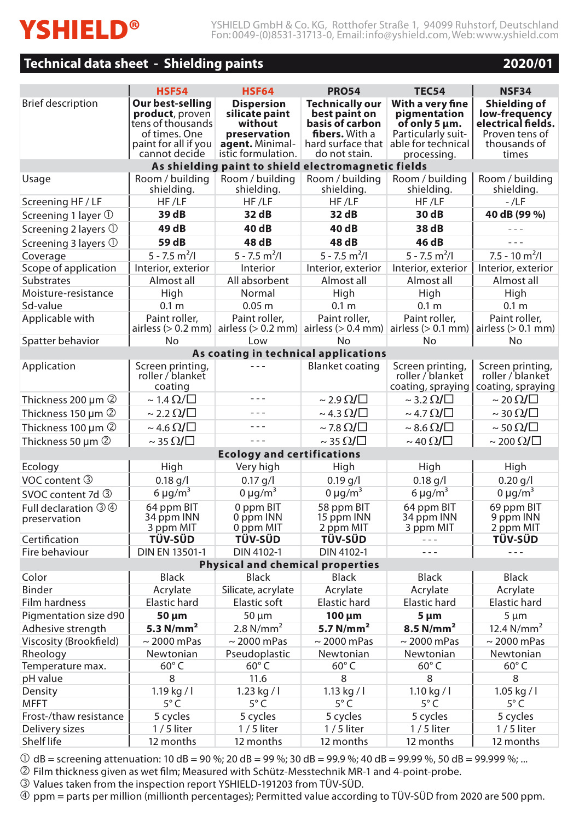# **Technical data sheet - Shielding paints 2020/01 Overview - Shielding paints**

| 2020/01 |
|---------|
|---------|

|                                                     | <b>HSF54</b>                                                                                                       | <b>HSF64</b>                                                                                            | <b>PRO54</b>                                                                                  | <b>TEC54</b>                                                                                                                   | <b>NSF34</b>                                                                                   |  |
|-----------------------------------------------------|--------------------------------------------------------------------------------------------------------------------|---------------------------------------------------------------------------------------------------------|-----------------------------------------------------------------------------------------------|--------------------------------------------------------------------------------------------------------------------------------|------------------------------------------------------------------------------------------------|--|
| <b>Brief description</b>                            | Our best-selling<br>product, proven<br>tens of thousands<br>of times. One<br>paint for all if you<br>cannot decide | <b>Dispersion</b><br>silicate paint<br>without<br>preservation<br>agent. Minimal-<br>istic formulation. | <b>Technically our</b><br>best paint on<br>basis of carbon<br>fibers. With a<br>do not stain. | With a very fine<br>pigmentation<br>of only 5 µm.<br>Particularly suit-<br>hard surface that able for technical<br>processing. | Shielding of<br>low-frequency<br>electrical fields.<br>Proven tens of<br>thousands of<br>times |  |
| As shielding paint to shield electromagnetic fields |                                                                                                                    |                                                                                                         |                                                                                               |                                                                                                                                |                                                                                                |  |
| Usage                                               | Room / building<br>shielding.                                                                                      | Room / building<br>shielding.                                                                           | Room / building<br>shielding.                                                                 | Room / building<br>shielding.                                                                                                  | Room / building<br>shielding.                                                                  |  |
| Screening HF / LF                                   | HF/LF                                                                                                              | HF/LF                                                                                                   | HF/LF                                                                                         | HF/LF                                                                                                                          | $-$ /LF                                                                                        |  |
| Screening 1 layer $\mathbb O$                       | 39 dB                                                                                                              | 32 dB                                                                                                   | 32 dB                                                                                         | 30 dB                                                                                                                          | 40 dB (99 %)                                                                                   |  |
| Screening 2 layers 1                                | 49 dB                                                                                                              | 40 dB                                                                                                   | 40 dB                                                                                         | 38 dB                                                                                                                          | $- - -$                                                                                        |  |
| Screening 3 layers 1                                | 59 dB                                                                                                              | 48 dB                                                                                                   | 48 dB                                                                                         | 46 dB                                                                                                                          | $- - -$                                                                                        |  |
| Coverage                                            | $5 - 7.5$ m <sup>2</sup> /l                                                                                        | $5 - 7.5$ m <sup>2</sup> /l                                                                             | $5 - 7.5$ m <sup>2</sup> /l                                                                   | $5 - 7.5$ m <sup>2</sup> /l                                                                                                    | $7.5 - 10$ m <sup>2</sup> /l                                                                   |  |
| Scope of application                                | Interior, exterior                                                                                                 | Interior                                                                                                | Interior, exterior                                                                            | Interior, exterior                                                                                                             | Interior, exterior                                                                             |  |
| <b>Substrates</b>                                   | Almost all                                                                                                         | All absorbent                                                                                           | Almost all                                                                                    | Almost all                                                                                                                     | Almost all                                                                                     |  |
| Moisture-resistance                                 | High                                                                                                               | Normal                                                                                                  | High                                                                                          | High                                                                                                                           | High                                                                                           |  |
| Sd-value                                            | 0.1 <sub>m</sub>                                                                                                   | 0.05 <sub>m</sub>                                                                                       | 0.1 <sub>m</sub>                                                                              | 0.1 <sub>m</sub>                                                                                                               | 0.1 <sub>m</sub>                                                                               |  |
| Applicable with                                     | Paint roller.                                                                                                      | Paint roller,<br>airless (> 0.2 mm) airless (> 0.2 mm) airless (> 0.4 mm) airless (> 0.1 mm)            | Paint roller.                                                                                 | Paint roller.                                                                                                                  | Paint roller.<br>airless $(> 0.1$ mm)                                                          |  |
| Spatter behavior                                    | No                                                                                                                 | Low                                                                                                     | Nο                                                                                            | No                                                                                                                             | Nο                                                                                             |  |
| As coating in technical applications                |                                                                                                                    |                                                                                                         |                                                                                               |                                                                                                                                |                                                                                                |  |
| Application                                         | Screen printing,<br>roller / blanket<br>coating                                                                    |                                                                                                         | <b>Blanket coating</b>                                                                        | Screen printing,<br>roller / blanket<br>coating, spraying                                                                      | Screen printing,<br>roller / blanket<br>coating, spraying                                      |  |
| Thickness 200 µm 2                                  | $\sim$ 1.4 $\Omega/\square$                                                                                        | $- - -$                                                                                                 | $\sim$ 2.9 $\Omega/\square$                                                                   | $\sim$ 3.2 $\Omega/\Box$                                                                                                       | $\sim$ 20 $\Omega$ / $\Box$                                                                    |  |
| Thickness 150 µm 2                                  | $\sim$ 2.2 $\Omega$ / $\Box$                                                                                       | $- - -$                                                                                                 | $\sim$ 4.3 $\Omega/\Box$                                                                      | $\sim$ 4.7 $\Omega$ / $\Box$                                                                                                   | $\sim$ 30 $\Omega/\square$                                                                     |  |
| Thickness 100 µm 2                                  | $\sim$ 4.6 $\Omega/\square$                                                                                        | $- - -$                                                                                                 | $\sim$ 7.8 $\Omega/\square$                                                                   | $\sim$ 8.6 $\Omega/\square$                                                                                                    | $\sim$ 50 $\Omega$ / $\Box$                                                                    |  |
| Thickness 50 $\mu$ m $\oslash$                      | $\sim$ 35 $\Omega$ / $\Box$                                                                                        | $- -$                                                                                                   | $\sim$ 35 $\Omega/\square$                                                                    | $\sim$ 40 $\Omega$ / $\Box$                                                                                                    | $\sim$ 200 $\Omega$ / $\Box$                                                                   |  |
| <b>Ecology and certifications</b>                   |                                                                                                                    |                                                                                                         |                                                                                               |                                                                                                                                |                                                                                                |  |
| Ecology                                             | High                                                                                                               | Very high                                                                                               | High                                                                                          | High                                                                                                                           | High                                                                                           |  |
| VOC content 3                                       | $0.18$ g/l                                                                                                         | $0.17$ g/l                                                                                              | $0.19$ g/l                                                                                    | $0.18$ g/l                                                                                                                     | $0.20$ g/l                                                                                     |  |
| SVOC content 7d 3                                   | 6 $\mu$ g/m <sup>3</sup>                                                                                           | $0 \mu q/m^3$                                                                                           | $0 \mu q/m^3$                                                                                 | $6 \mu g/m^3$                                                                                                                  | 0 $\mu$ g/m <sup>3</sup>                                                                       |  |
| Full declaration 3 4<br>preservation                | 64 ppm BIT<br>34 ppm INN<br>3 ppm MIT                                                                              | 0 ppm BIT<br>0 ppm INN<br>0 ppm MIT                                                                     | 58 ppm BIT<br>15 ppm INN<br>2 ppm MIT                                                         | 64 ppm BIT<br>34 ppm INN<br>3 ppm MIT                                                                                          | 69 ppm BIT<br>9 ppm INN<br>2 ppm MIT                                                           |  |
| Certification                                       | TÜV-SÜD                                                                                                            | <b>TÜV-SÜD</b>                                                                                          | <b>TÜV-SÜD</b>                                                                                | $- - -$                                                                                                                        | <b>TÜV-SÜD</b>                                                                                 |  |
| Fire behaviour                                      | DIN EN 13501-1                                                                                                     | DIN 4102-1                                                                                              | DIN 4102-1                                                                                    | $- -$                                                                                                                          | $- -$                                                                                          |  |
|                                                     |                                                                                                                    | <b>Physical and chemical properties</b>                                                                 |                                                                                               |                                                                                                                                |                                                                                                |  |
| Color                                               | <b>Black</b>                                                                                                       | <b>Black</b>                                                                                            | <b>Black</b>                                                                                  | <b>Black</b>                                                                                                                   | <b>Black</b>                                                                                   |  |
| Binder                                              | Acrylate                                                                                                           | Silicate, acrylate                                                                                      | Acrylate                                                                                      | Acrylate                                                                                                                       | Acrylate                                                                                       |  |
| Film hardness                                       | Elastic hard                                                                                                       | Elastic soft                                                                                            | Elastic hard                                                                                  | Elastic hard                                                                                                                   | Elastic hard                                                                                   |  |
| Pigmentation size d90                               | 50 µm                                                                                                              | 50 µm                                                                                                   | $100 \mu m$                                                                                   | 5 µm                                                                                                                           | $5 \mu m$                                                                                      |  |
| Adhesive strength                                   | 5.3 $N/mm2$                                                                                                        | 2.8 $N/mm2$                                                                                             | 5.7 $N/mm2$                                                                                   | $8.5$ N/mm <sup>2</sup>                                                                                                        | 12.4 $N/mm^2$                                                                                  |  |
| Viscosity (Brookfield)                              | $\sim$ 2000 mPas                                                                                                   | $\sim$ 2000 mPas                                                                                        | $\sim$ 2000 mPas                                                                              | $\sim$ 2000 mPas                                                                                                               | $\sim$ 2000 mPas                                                                               |  |
| Rheology                                            | Newtonian                                                                                                          | Pseudoplastic                                                                                           | Newtonian                                                                                     | Newtonian                                                                                                                      | Newtonian                                                                                      |  |
| Temperature max.                                    | $60^{\circ}$ C                                                                                                     | $60^\circ C$                                                                                            | $60^\circ C$                                                                                  | 60°C                                                                                                                           | $60^\circ C$                                                                                   |  |
| pH value                                            | 8                                                                                                                  | 11.6                                                                                                    | 8                                                                                             | 8                                                                                                                              | 8                                                                                              |  |
| Density                                             | $1.19$ kg / l                                                                                                      | 1.23 kg / $\vert$                                                                                       | 1.13 kg / $\vert$                                                                             | 1.10 kg / $\vert$                                                                                                              | $1.05$ kg / l                                                                                  |  |
| <b>MFFT</b>                                         | $5^{\circ}$ C                                                                                                      | $5^{\circ}$ C                                                                                           | $5^{\circ}$ C                                                                                 | $5^{\circ}$ C                                                                                                                  | $5^{\circ}$ C                                                                                  |  |
| Frost-/thaw resistance                              | 5 cycles                                                                                                           | 5 cycles                                                                                                | 5 cycles                                                                                      | 5 cycles                                                                                                                       | 5 cycles                                                                                       |  |
| Delivery sizes                                      | $1/5$ liter                                                                                                        | $1/5$ liter                                                                                             | $1/5$ liter                                                                                   | $1/5$ liter                                                                                                                    | $1/5$ liter                                                                                    |  |
| Shelf life                                          | 12 months                                                                                                          | 12 months                                                                                               | 12 months                                                                                     | 12 months                                                                                                                      | 12 months                                                                                      |  |

 $\odot$  dB = screening attenuation: 10 dB = 90 %; 20 dB = 99 %; 30 dB = 99.9 %; 40 dB = 99.99 %, 50 dB = 99.999 %; ...

 $\oslash$  Film thickness given as wet film; Measured with Schütz-Messtechnik MR-1 and 4-point-probe.

Values taken from the inspection report YSHIELD-191203 from TÜV-SÜD.

ppm = parts per million (millionth percentages); Permitted value according to TÜV-SÜD from 2020 are 500 ppm.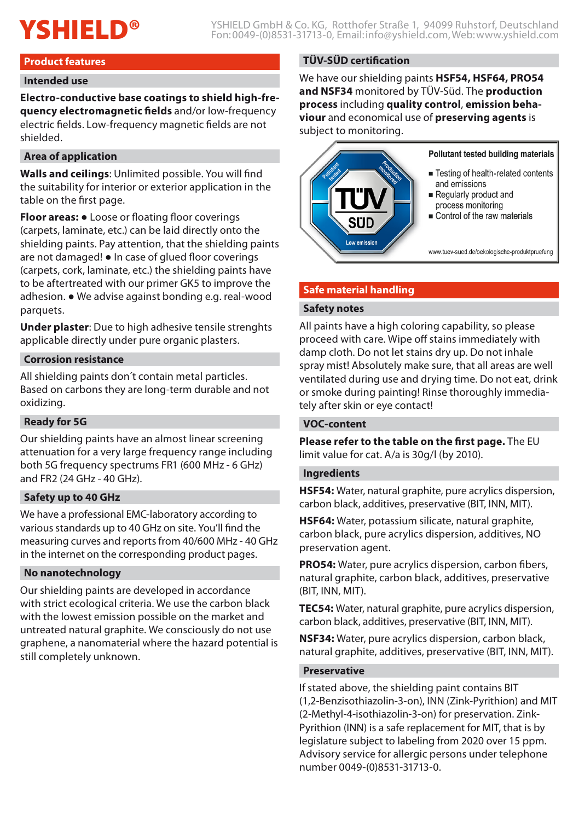# **Product features**

#### **Intended use**

**Electro-conductive base coatings to shield high-frequency electromagnetic fields** and/or low-frequency electric fields. Low-frequency magnetic fields are not shielded.

# **Area of application**

**Walls and ceilings**: Unlimited possible. You will find the suitability for interior or exterior application in the table on the first page.

**Floor areas:** ● Loose or floating floor coverings (carpets, laminate, etc.) can be laid directly onto the shielding paints. Pay attention, that the shielding paints are not damaged! ● In case of glued floor coverings (carpets, cork, laminate, etc.) the shielding paints have to be aftertreated with our primer GK5 to improve the adhesion. ● We advise against bonding e.g. real-wood parquets.

**Under plaster**: Due to high adhesive tensile strenghts applicable directly under pure organic plasters.

# **Corrosion resistance**

All shielding paints don´t contain metal particles. Based on carbons they are long-term durable and not oxidizing.

# **Ready for 5G**

Our shielding paints have an almost linear screening attenuation for a very large frequency range including both 5G frequency spectrums FR1 (600 MHz - 6 GHz) and FR2 (24 GHz - 40 GHz).

#### **Safety up to 40 GHz**

We have a professional EMC-laboratory according to various standards up to 40 GHz on site. You'll find the measuring curves and reports from 40/600 MHz - 40 GHz in the internet on the corresponding product pages.

#### **No nanotechnology**

Our shielding paints are developed in accordance with strict ecological criteria. We use the carbon black with the lowest emission possible on the market and untreated natural graphite. We consciously do not use graphene, a nanomaterial where the hazard potential is still completely unknown.

# **TÜV-SÜD certification**

We have our shielding paints **HSF54, HSF64, PRO54 and NSF34** monitored by TÜV-Süd. The **production process** including **quality control**, **emission behaviour** and economical use of **preserving agents** is subject to monitoring.



# **Safe material handling**

#### **Safety notes**

All paints have a high coloring capability, so please proceed with care. Wipe off stains immediately with damp cloth. Do not let stains dry up. Do not inhale spray mist! Absolutely make sure, that all areas are well ventilated during use and drying time. Do not eat, drink or smoke during painting! Rinse thoroughly immediately after skin or eye contact!

# **VOC-content**

**Please refer to the table on the first page.** The EU limit value for cat. A/a is 30g/l (by 2010).

#### **Ingredients**

**HSF54:** Water, natural graphite, pure acrylics dispersion, carbon black, additives, preservative (BIT, INN, MIT).

**HSF64:** Water, potassium silicate, natural graphite, carbon black, pure acrylics dispersion, additives, NO preservation agent.

**PRO54:** Water, pure acrylics dispersion, carbon fibers, natural graphite, carbon black, additives, preservative (BIT, INN, MIT).

**TEC54:** Water, natural graphite, pure acrylics dispersion, carbon black, additives, preservative (BIT, INN, MIT).

**NSF34:** Water, pure acrylics dispersion, carbon black, natural graphite, additives, preservative (BIT, INN, MIT).

#### **Preservative**

If stated above, the shielding paint contains BIT (1,2-Benzisothiazolin-3-on), INN (Zink-Pyrithion) and MIT (2-Methyl-4-isothiazolin-3-on) for preservation. Zink-Pyrithion (INN) is a safe replacement for MIT, that is by legislature subject to labeling from 2020 over 15 ppm. Advisory service for allergic persons under telephone number 0049-(0)8531-31713-0.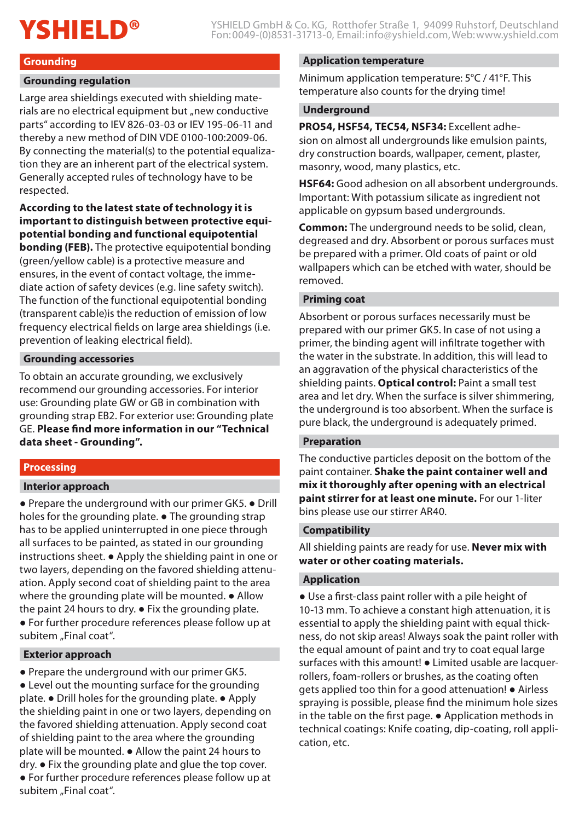# **Grounding**

#### **Grounding regulation**

Large area shieldings executed with shielding materials are no electrical equipment but "new conductive parts" according to IEV 826-03-03 or IEV 195-06-11 and thereby a new method of DIN VDE 0100-100:2009-06. By connecting the material(s) to the potential equalization they are an inherent part of the electrical system. Generally accepted rules of technology have to be respected.

# **According to the latest state of technology it is important to distinguish between protective equipotential bonding and functional equipotential**

**bonding (FEB).** The protective equipotential bonding (green/yellow cable) is a protective measure and ensures, in the event of contact voltage, the immediate action of safety devices (e.g. line safety switch). The function of the functional equipotential bonding (transparent cable)is the reduction of emission of low frequency electrical fields on large area shieldings (i.e. prevention of leaking electrical field).

# **Grounding accessories**

To obtain an accurate grounding, we exclusively recommend our grounding accessories. For interior use: Grounding plate GW or GB in combination with grounding strap EB2. For exterior use: Grounding plate GE. **Please find more information in our "Technical data sheet - Grounding".**

#### **Processing**

#### **Interior approach**

● Prepare the underground with our primer GK5. ● Drill holes for the grounding plate. • The grounding strap has to be applied uninterrupted in one piece through all surfaces to be painted, as stated in our grounding instructions sheet. ● Apply the shielding paint in one or two layers, depending on the favored shielding attenuation. Apply second coat of shielding paint to the area where the grounding plate will be mounted. • Allow the paint 24 hours to dry. ● Fix the grounding plate.

● For further procedure references please follow up at subitem "Final coat".

#### **Exterior approach**

● Prepare the underground with our primer GK5. • Level out the mounting surface for the grounding plate. ● Drill holes for the grounding plate. ● Apply the shielding paint in one or two layers, depending on the favored shielding attenuation. Apply second coat of shielding paint to the area where the grounding plate will be mounted. ● Allow the paint 24 hours to dry. ● Fix the grounding plate and glue the top cover. ● For further procedure references please follow up at subitem "Final coat".

#### **Application temperature**

Minimum application temperature: 5°C / 41°F. This temperature also counts for the drying time!

#### **Underground**

**PRO54, HSF54, TEC54, NSF34:** Excellent adhesion on almost all undergrounds like emulsion paints, dry construction boards, wallpaper, cement, plaster, masonry, wood, many plastics, etc.

**HSF64:** Good adhesion on all absorbent undergrounds. Important: With potassium silicate as ingredient not applicable on gypsum based undergrounds.

**Common:** The underground needs to be solid, clean, degreased and dry. Absorbent or porous surfaces must be prepared with a primer. Old coats of paint or old wallpapers which can be etched with water, should be removed.

#### **Priming coat**

Absorbent or porous surfaces necessarily must be prepared with our primer GK5. In case of not using a primer, the binding agent will infiltrate together with the water in the substrate. In addition, this will lead to an aggravation of the physical characteristics of the shielding paints. **Optical control:** Paint a small test area and let dry. When the surface is silver shimmering, the underground is too absorbent. When the surface is pure black, the underground is adequately primed.

#### **Preparation**

The conductive particles deposit on the bottom of the paint container. **Shake the paint container well and mix it thoroughly after opening with an electrical paint stirrer for at least one minute.** For our 1-liter bins please use our stirrer AR40.

#### **Compatibility**

All shielding paints are ready for use. **Never mix with water or other coating materials.**

#### **Application**

● Use a first-class paint roller with a pile height of 10-13 mm. To achieve a constant high attenuation, it is essential to apply the shielding paint with equal thickness, do not skip areas! Always soak the paint roller with the equal amount of paint and try to coat equal large surfaces with this amount! ● Limited usable are lacquerrollers, foam-rollers or brushes, as the coating often gets applied too thin for a good attenuation! ● Airless spraying is possible, please find the minimum hole sizes in the table on the first page. ● Application methods in technical coatings: Knife coating, dip-coating, roll application, etc.